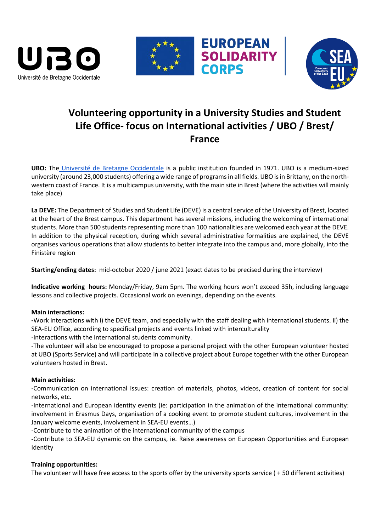





# **Volunteering opportunity in a University Studies and Student Life Office- focus on International activities / UBO / Brest/ France**

**EUROPEAN<br>SOLIDARITY** 

**CORPS** 

**UBO:** The [Université de Bretagne Occidentale](https://www.univ-brest.fr/GB/menu/About-us/About-the-university) is a public institution founded in 1971. UBO is a medium-sized university (around 23,000 students) offering a wide range of programsin all fields. UBO is in Brittany, on the northwestern coast of France. It is a multicampus university, with the main site in Brest (where the activities will mainly take place)

**La DEVE:** The Department of Studies and Student Life (DEVE) is a central service of the University of Brest, located at the heart of the Brest campus. This department has several missions, including the welcoming of international students. More than 500 students representing more than 100 nationalities are welcomed each year at the DEVE. In addition to the physical reception, during which several administrative formalities are explained, the DEVE organises various operations that allow students to better integrate into the campus and, more globally, into the Finistère region

**Starting/ending dates:** mid-october 2020 / june 2021 (exact dates to be precised during the interview)

**Indicative working hours:** Monday/Friday, 9am 5pm. The working hours won't exceed 35h, including language lessons and collective projects. Occasional work on evenings, depending on the events.

## **Main interactions:**

**-**Work interactions with i) the DEVE team, and especially with the staff dealing with international students. ii) the SEA-EU Office, according to specifical projects and events linked with interculturality -Interactions with the international students community.

-The volunteer will also be encouraged to propose a personal project with the other European volunteer hosted at UBO (Sports Service) and will participate in a collective project about Europe together with the other European volunteers hosted in Brest.

## **Main activities:**

-Communication on international issues: creation of materials, photos, videos, creation of content for social networks, etc.

-International and European identity events (ie: participation in the animation of the international community: involvement in Erasmus Days, organisation of a cooking event to promote student cultures, involvement in the January welcome events, involvement in SEA-EU events…)

-Contribute to the animation of the international community of the campus

-Contribute to SEA-EU dynamic on the campus, ie. Raise awareness on European Opportunities and European Identity

## **Training opportunities:**

The volunteer will have free access to the sports offer by the university sports service ( + 50 different activities)